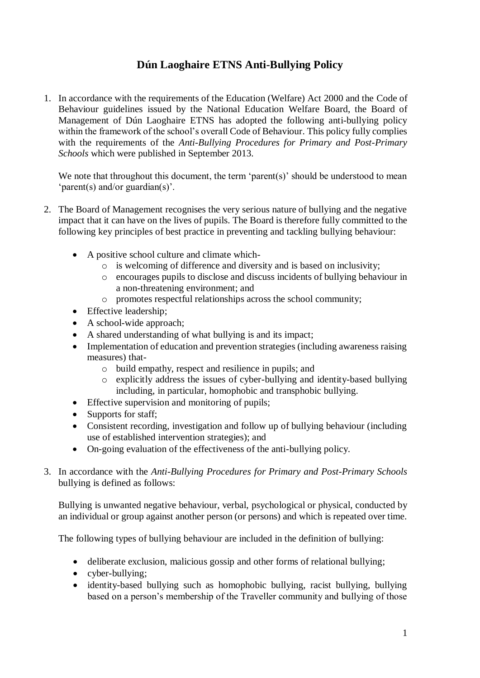# **Dún Laoghaire ETNS Anti-Bullying Policy**

1. In accordance with the requirements of the Education (Welfare) Act 2000 and the Code of Behaviour guidelines issued by the National Education Welfare Board, the Board of Management of Dún Laoghaire ETNS has adopted the following anti-bullying policy within the framework of the school's overall Code of Behaviour. This policy fully complies with the requirements of the *Anti-Bullying Procedures for Primary and Post-Primary Schools* which were published in September 2013.

We note that throughout this document, the term 'parent(s)' should be understood to mean 'parent(s) and/or guardian(s)'.

- 2. The Board of Management recognises the very serious nature of bullying and the negative impact that it can have on the lives of pupils. The Board is therefore fully committed to the following key principles of best practice in preventing and tackling bullying behaviour:
	- A positive school culture and climate which
		- o is welcoming of difference and diversity and is based on inclusivity;
		- o encourages pupils to disclose and discuss incidents of bullying behaviour in a non-threatening environment; and
		- o promotes respectful relationships across the school community;
	- Effective leadership;
	- A school-wide approach;
	- A shared understanding of what bullying is and its impact;
	- Implementation of education and prevention strategies (including awareness raising measures) that
		- o build empathy, respect and resilience in pupils; and
		- o explicitly address the issues of cyber-bullying and identity-based bullying including, in particular, homophobic and transphobic bullying.
	- Effective supervision and monitoring of pupils;
	- Supports for staff;
	- Consistent recording, investigation and follow up of bullying behaviour (including use of established intervention strategies); and
	- On-going evaluation of the effectiveness of the anti-bullying policy.
- 3. In accordance with the *Anti-Bullying Procedures for Primary and Post-Primary Schools* bullying is defined as follows:

Bullying is unwanted negative behaviour, verbal, psychological or physical, conducted by an individual or group against another person (or persons) and which is repeated over time.

The following types of bullying behaviour are included in the definition of bullying:

- deliberate exclusion, malicious gossip and other forms of relational bullying;
- cyber-bullying;
- identity-based bullying such as homophobic bullying, racist bullying, bullying based on a person's membership of the Traveller community and bullying of those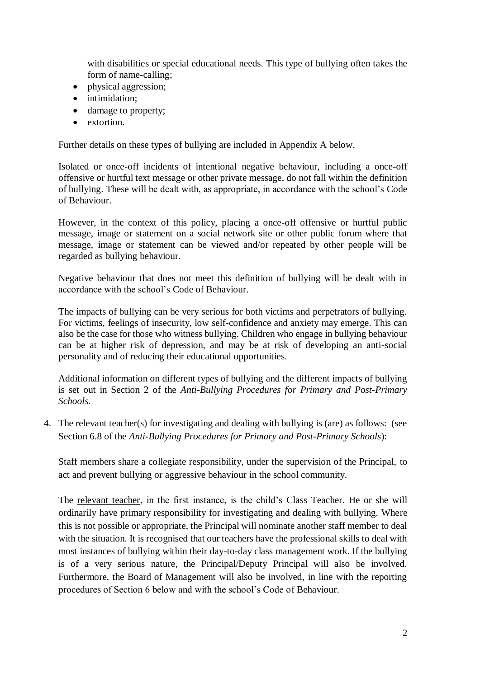with disabilities or special educational needs. This type of bullying often takes the form of name-calling;

- physical aggression;
- intimidation:
- damage to property;
- extortion.

Further details on these types of bullying are included in Appendix A below.

Isolated or once-off incidents of intentional negative behaviour, including a once-off offensive or hurtful text message or other private message, do not fall within the definition of bullying. These will be dealt with, as appropriate, in accordance with the school's Code of Behaviour.

However, in the context of this policy, placing a once-off offensive or hurtful public message, image or statement on a social network site or other public forum where that message, image or statement can be viewed and/or repeated by other people will be regarded as bullying behaviour.

Negative behaviour that does not meet this definition of bullying will be dealt with in accordance with the school's Code of Behaviour.

The impacts of bullying can be very serious for both victims and perpetrators of bullying. For victims, feelings of insecurity, low self-confidence and anxiety may emerge. This can also be the case for those who witness bullying. Children who engage in bullying behaviour can be at higher risk of depression, and may be at risk of developing an anti-social personality and of reducing their educational opportunities.

Additional information on different types of bullying and the different impacts of bullying is set out in Section 2 of the *Anti-Bullying Procedures for Primary and Post-Primary Schools*.

4. The relevant teacher(s) for investigating and dealing with bullying is (are) as follows: (see Section 6.8 of the *Anti-Bullying Procedures for Primary and Post-Primary Schools*):

Staff members share a collegiate responsibility, under the supervision of the Principal, to act and prevent bullying or aggressive behaviour in the school community.

The relevant teacher, in the first instance, is the child's Class Teacher. He or she will ordinarily have primary responsibility for investigating and dealing with bullying. Where this is not possible or appropriate, the Principal will nominate another staff member to deal with the situation. It is recognised that our teachers have the professional skills to deal with most instances of bullying within their day-to-day class management work. If the bullying is of a very serious nature, the Principal/Deputy Principal will also be involved. Furthermore, the Board of Management will also be involved, in line with the reporting procedures of Section 6 below and with the school's Code of Behaviour.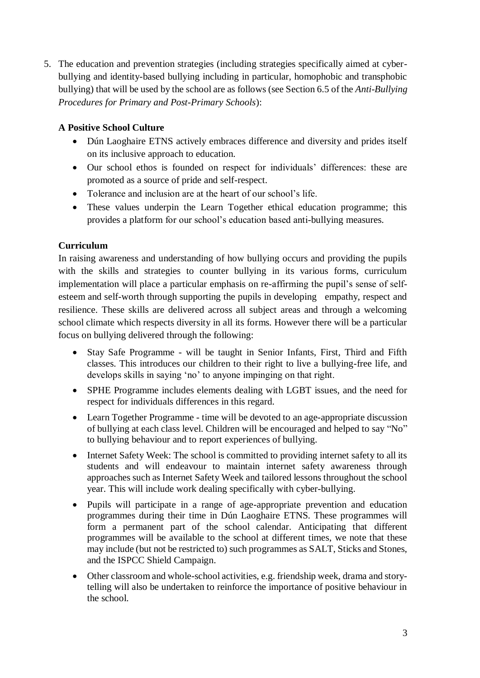5. The education and prevention strategies (including strategies specifically aimed at cyberbullying and identity-based bullying including in particular, homophobic and transphobic bullying) that will be used by the school are as follows (see Section 6.5 of the *Anti-Bullying Procedures for Primary and Post-Primary Schools*):

# **A Positive School Culture**

- Dún Laoghaire ETNS actively embraces difference and diversity and prides itself on its inclusive approach to education.
- Our school ethos is founded on respect for individuals' differences: these are promoted as a source of pride and self-respect.
- Tolerance and inclusion are at the heart of our school's life.
- These values underpin the Learn Together ethical education programme; this provides a platform for our school's education based anti-bullying measures.

# **Curriculum**

In raising awareness and understanding of how bullying occurs and providing the pupils with the skills and strategies to counter bullying in its various forms, curriculum implementation will place a particular emphasis on re-affirming the pupil's sense of selfesteem and self-worth through supporting the pupils in developing empathy, respect and resilience. These skills are delivered across all subject areas and through a welcoming school climate which respects diversity in all its forms. However there will be a particular focus on bullying delivered through the following:

- Stay Safe Programme will be taught in Senior Infants, First, Third and Fifth classes. This introduces our children to their right to live a bullying-free life, and develops skills in saying 'no' to anyone impinging on that right.
- SPHE Programme includes elements dealing with LGBT issues, and the need for respect for individuals differences in this regard.
- Learn Together Programme time will be devoted to an age-appropriate discussion of bullying at each class level. Children will be encouraged and helped to say "No" to bullying behaviour and to report experiences of bullying.
- Internet Safety Week: The school is committed to providing internet safety to all its students and will endeavour to maintain internet safety awareness through approaches such as Internet Safety Week and tailored lessons throughout the school year. This will include work dealing specifically with cyber-bullying.
- Pupils will participate in a range of age-appropriate prevention and education programmes during their time in Dún Laoghaire ETNS. These programmes will form a permanent part of the school calendar. Anticipating that different programmes will be available to the school at different times, we note that these may include (but not be restricted to) such programmes as SALT, Sticks and Stones, and the ISPCC Shield Campaign.
- Other classroom and whole-school activities, e.g. friendship week, drama and storytelling will also be undertaken to reinforce the importance of positive behaviour in the school.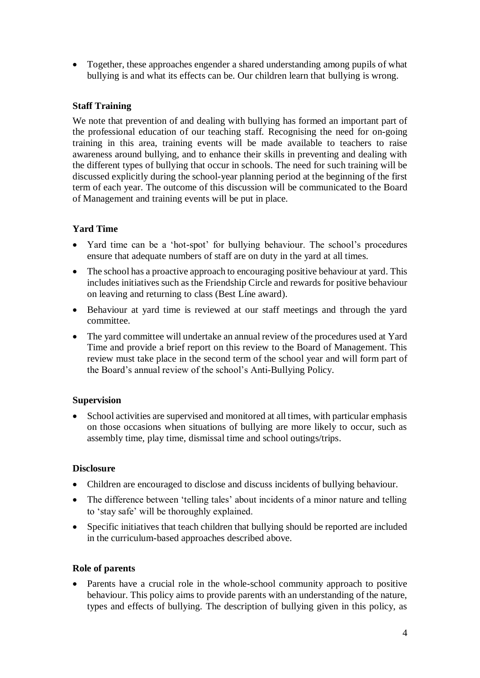• Together, these approaches engender a shared understanding among pupils of what bullying is and what its effects can be. Our children learn that bullying is wrong.

### **Staff Training**

We note that prevention of and dealing with bullying has formed an important part of the professional education of our teaching staff. Recognising the need for on-going training in this area, training events will be made available to teachers to raise awareness around bullying, and to enhance their skills in preventing and dealing with the different types of bullying that occur in schools. The need for such training will be discussed explicitly during the school-year planning period at the beginning of the first term of each year. The outcome of this discussion will be communicated to the Board of Management and training events will be put in place.

### **Yard Time**

- Yard time can be a 'hot-spot' for bullying behaviour. The school's procedures ensure that adequate numbers of staff are on duty in the yard at all times.
- The school has a proactive approach to encouraging positive behaviour at yard. This includes initiatives such as the Friendship Circle and rewards for positive behaviour on leaving and returning to class (Best Líne award).
- Behaviour at yard time is reviewed at our staff meetings and through the yard committee.
- The yard committee will undertake an annual review of the procedures used at Yard Time and provide a brief report on this review to the Board of Management. This review must take place in the second term of the school year and will form part of the Board's annual review of the school's Anti-Bullying Policy.

#### **Supervision**

• School activities are supervised and monitored at all times, with particular emphasis on those occasions when situations of bullying are more likely to occur, such as assembly time, play time, dismissal time and school outings/trips.

#### **Disclosure**

- Children are encouraged to disclose and discuss incidents of bullying behaviour.
- The difference between 'telling tales' about incidents of a minor nature and telling to 'stay safe' will be thoroughly explained.
- Specific initiatives that teach children that bullying should be reported are included in the curriculum-based approaches described above.

#### **Role of parents**

• Parents have a crucial role in the whole-school community approach to positive behaviour. This policy aims to provide parents with an understanding of the nature, types and effects of bullying. The description of bullying given in this policy, as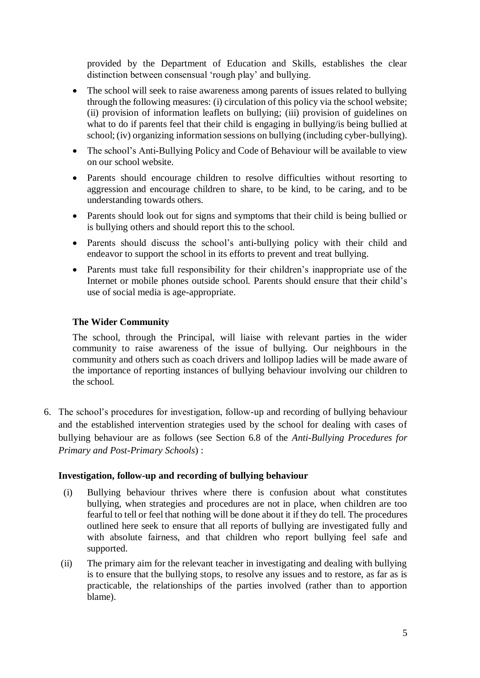provided by the Department of Education and Skills, establishes the clear distinction between consensual 'rough play' and bullying.

- The school will seek to raise awareness among parents of issues related to bullying through the following measures: (i) circulation of this policy via the school website; (ii) provision of information leaflets on bullying; (iii) provision of guidelines on what to do if parents feel that their child is engaging in bullying/is being bullied at school; (iv) organizing information sessions on bullying (including cyber-bullying).
- The school's Anti-Bullying Policy and Code of Behaviour will be available to view on our school website.
- Parents should encourage children to resolve difficulties without resorting to aggression and encourage children to share, to be kind, to be caring, and to be understanding towards others.
- Parents should look out for signs and symptoms that their child is being bullied or is bullying others and should report this to the school.
- Parents should discuss the school's anti-bullying policy with their child and endeavor to support the school in its efforts to prevent and treat bullying.
- Parents must take full responsibility for their children's inappropriate use of the Internet or mobile phones outside school. Parents should ensure that their child's use of social media is age-appropriate.

#### **The Wider Community**

The school, through the Principal, will liaise with relevant parties in the wider community to raise awareness of the issue of bullying. Our neighbours in the community and others such as coach drivers and lollipop ladies will be made aware of the importance of reporting instances of bullying behaviour involving our children to the school.

6. The school's procedures for investigation, follow-up and recording of bullying behaviour and the established intervention strategies used by the school for dealing with cases of bullying behaviour are as follows (see Section 6.8 of the *Anti-Bullying Procedures for Primary and Post-Primary Schools*) :

#### **Investigation, follow-up and recording of bullying behaviour**

- (i) Bullying behaviour thrives where there is confusion about what constitutes bullying, when strategies and procedures are not in place, when children are too fearful to tell or feel that nothing will be done about it if they do tell. The procedures outlined here seek to ensure that all reports of bullying are investigated fully and with absolute fairness, and that children who report bullying feel safe and supported.
- (ii) The primary aim for the relevant teacher in investigating and dealing with bullying is to ensure that the bullying stops, to resolve any issues and to restore, as far as is practicable, the relationships of the parties involved (rather than to apportion blame).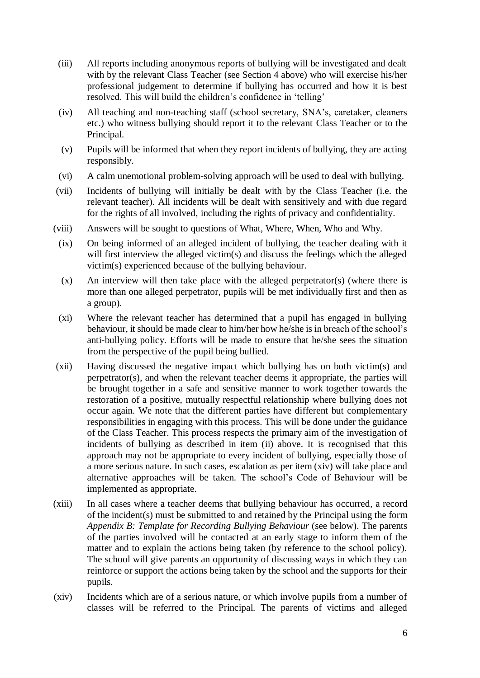- (iii) All reports including anonymous reports of bullying will be investigated and dealt with by the relevant Class Teacher (see Section 4 above) who will exercise his/her professional judgement to determine if bullying has occurred and how it is best resolved. This will build the children's confidence in 'telling'
- (iv) All teaching and non-teaching staff (school secretary, SNA's, caretaker, cleaners etc.) who witness bullying should report it to the relevant Class Teacher or to the Principal.
- (v) Pupils will be informed that when they report incidents of bullying, they are acting responsibly.
- (vi) A calm unemotional problem-solving approach will be used to deal with bullying.
- (vii) Incidents of bullying will initially be dealt with by the Class Teacher (i.e. the relevant teacher). All incidents will be dealt with sensitively and with due regard for the rights of all involved, including the rights of privacy and confidentiality.
- (viii) Answers will be sought to questions of What, Where, When, Who and Why.
	- (ix) On being informed of an alleged incident of bullying, the teacher dealing with it will first interview the alleged victim(s) and discuss the feelings which the alleged victim(s) experienced because of the bullying behaviour.
	- (x) An interview will then take place with the alleged perpetrator(s) (where there is more than one alleged perpetrator, pupils will be met individually first and then as a group).
	- (xi) Where the relevant teacher has determined that a pupil has engaged in bullying behaviour, it should be made clear to him/her how he/she is in breach of the school's anti-bullying policy. Efforts will be made to ensure that he/she sees the situation from the perspective of the pupil being bullied.
- (xii) Having discussed the negative impact which bullying has on both victim(s) and perpetrator(s), and when the relevant teacher deems it appropriate, the parties will be brought together in a safe and sensitive manner to work together towards the restoration of a positive, mutually respectful relationship where bullying does not occur again. We note that the different parties have different but complementary responsibilities in engaging with this process. This will be done under the guidance of the Class Teacher. This process respects the primary aim of the investigation of incidents of bullying as described in item (ii) above. It is recognised that this approach may not be appropriate to every incident of bullying, especially those of a more serious nature. In such cases, escalation as per item (xiv) will take place and alternative approaches will be taken. The school's Code of Behaviour will be implemented as appropriate.
- (xiii) In all cases where a teacher deems that bullying behaviour has occurred, a record of the incident(s) must be submitted to and retained by the Principal using the form *Appendix B: Template for Recording Bullying Behaviour* (see below). The parents of the parties involved will be contacted at an early stage to inform them of the matter and to explain the actions being taken (by reference to the school policy). The school will give parents an opportunity of discussing ways in which they can reinforce or support the actions being taken by the school and the supports for their pupils.
- (xiv) Incidents which are of a serious nature, or which involve pupils from a number of classes will be referred to the Principal. The parents of victims and alleged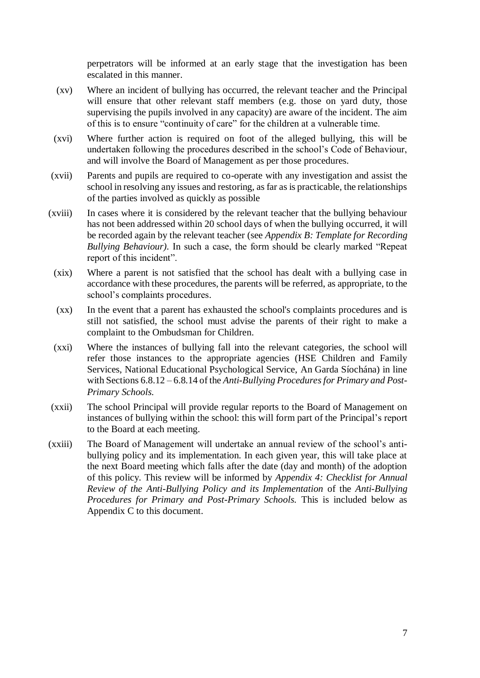perpetrators will be informed at an early stage that the investigation has been escalated in this manner.

- (xv) Where an incident of bullying has occurred, the relevant teacher and the Principal will ensure that other relevant staff members (e.g. those on yard duty, those supervising the pupils involved in any capacity) are aware of the incident. The aim of this is to ensure "continuity of care" for the children at a vulnerable time.
- (xvi) Where further action is required on foot of the alleged bullying, this will be undertaken following the procedures described in the school's Code of Behaviour, and will involve the Board of Management as per those procedures.
- (xvii) Parents and pupils are required to co-operate with any investigation and assist the school in resolving any issues and restoring, as far as is practicable, the relationships of the parties involved as quickly as possible
- (xviii) In cases where it is considered by the relevant teacher that the bullying behaviour has not been addressed within 20 school days of when the bullying occurred, it will be recorded again by the relevant teacher (see *Appendix B: Template for Recording Bullying Behaviour).* In such a case, the form should be clearly marked "Repeat report of this incident".
	- (xix) Where a parent is not satisfied that the school has dealt with a bullying case in accordance with these procedures, the parents will be referred, as appropriate, to the school's complaints procedures.
	- (xx) In the event that a parent has exhausted the school's complaints procedures and is still not satisfied, the school must advise the parents of their right to make a complaint to the Ombudsman for Children.
	- (xxi) Where the instances of bullying fall into the relevant categories, the school will refer those instances to the appropriate agencies (HSE Children and Family Services, National Educational Psychological Service, An Garda Síochána) in line with Sections 6.8.12 – 6.8.14 of the *Anti-Bullying Procedures for Primary and Post-Primary Schools.*
- (xxii) The school Principal will provide regular reports to the Board of Management on instances of bullying within the school: this will form part of the Principal's report to the Board at each meeting.
- (xxiii) The Board of Management will undertake an annual review of the school's antibullying policy and its implementation. In each given year, this will take place at the next Board meeting which falls after the date (day and month) of the adoption of this policy. This review will be informed by *Appendix 4: Checklist for Annual Review of the Anti-Bullying Policy and its Implementation* of the *Anti-Bullying Procedures for Primary and Post-Primary Schools.* This is included below as Appendix C to this document.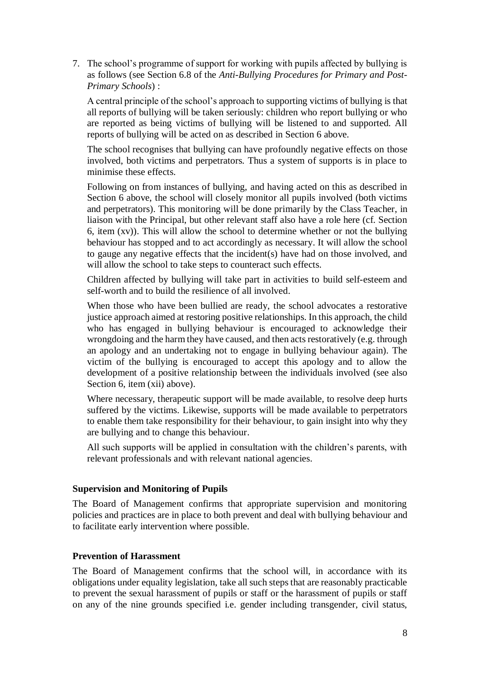7. The school's programme of support for working with pupils affected by bullying is as follows (see Section 6.8 of the *Anti-Bullying Procedures for Primary and Post-Primary Schools*) :

A central principle of the school's approach to supporting victims of bullying is that all reports of bullying will be taken seriously: children who report bullying or who are reported as being victims of bullying will be listened to and supported. All reports of bullying will be acted on as described in Section 6 above.

The school recognises that bullying can have profoundly negative effects on those involved, both victims and perpetrators. Thus a system of supports is in place to minimise these effects.

Following on from instances of bullying, and having acted on this as described in Section 6 above, the school will closely monitor all pupils involved (both victims and perpetrators). This monitoring will be done primarily by the Class Teacher, in liaison with the Principal, but other relevant staff also have a role here (cf. Section 6, item (xv)). This will allow the school to determine whether or not the bullying behaviour has stopped and to act accordingly as necessary. It will allow the school to gauge any negative effects that the incident(s) have had on those involved, and will allow the school to take steps to counteract such effects.

Children affected by bullying will take part in activities to build self-esteem and self-worth and to build the resilience of all involved.

When those who have been bullied are ready, the school advocates a restorative justice approach aimed at restoring positive relationships. In this approach, the child who has engaged in bullying behaviour is encouraged to acknowledge their wrongdoing and the harm they have caused, and then acts restoratively (e.g. through an apology and an undertaking not to engage in bullying behaviour again). The victim of the bullying is encouraged to accept this apology and to allow the development of a positive relationship between the individuals involved (see also Section 6, item (xii) above).

Where necessary, therapeutic support will be made available, to resolve deep hurts suffered by the victims. Likewise, supports will be made available to perpetrators to enable them take responsibility for their behaviour, to gain insight into why they are bullying and to change this behaviour.

All such supports will be applied in consultation with the children's parents, with relevant professionals and with relevant national agencies.

#### **Supervision and Monitoring of Pupils**

The Board of Management confirms that appropriate supervision and monitoring policies and practices are in place to both prevent and deal with bullying behaviour and to facilitate early intervention where possible.

#### **Prevention of Harassment**

The Board of Management confirms that the school will, in accordance with its obligations under equality legislation, take all such steps that are reasonably practicable to prevent the sexual harassment of pupils or staff or the harassment of pupils or staff on any of the nine grounds specified i.e. gender including transgender, civil status,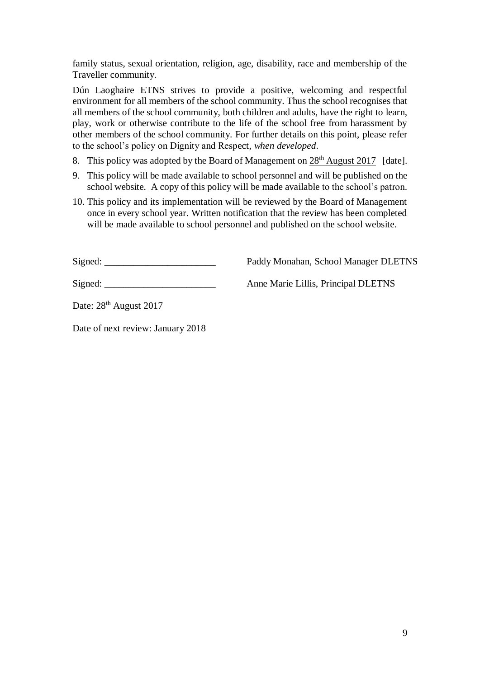family status, sexual orientation, religion, age, disability, race and membership of the Traveller community.

Dún Laoghaire ETNS strives to provide a positive, welcoming and respectful environment for all members of the school community. Thus the school recognises that all members of the school community, both children and adults, have the right to learn, play, work or otherwise contribute to the life of the school free from harassment by other members of the school community. For further details on this point, please refer to the school's policy on Dignity and Respect, *when developed*.

- 8. This policy was adopted by the Board of Management on  $28<sup>th</sup>$  August 2017 [date].
- 9. This policy will be made available to school personnel and will be published on the school website. A copy of this policy will be made available to the school's patron.
- 10. This policy and its implementation will be reviewed by the Board of Management once in every school year. Written notification that the review has been completed will be made available to school personnel and published on the school website.

Signed:  $Paddv$  Monahan, School Manager DLETNS

Signed: \_\_\_\_\_\_\_\_\_\_\_\_\_\_\_\_\_\_\_\_\_\_\_ Anne Marie Lillis, Principal DLETNS

Date:  $28<sup>th</sup>$  August 2017

Date of next review: January 2018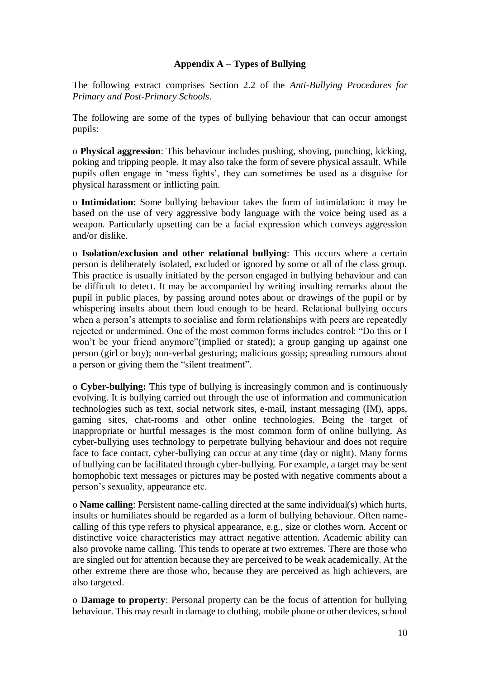#### **Appendix A – Types of Bullying**

The following extract comprises Section 2.2 of the *Anti-Bullying Procedures for Primary and Post-Primary Schools*.

The following are some of the types of bullying behaviour that can occur amongst pupils:

o **Physical aggression**: This behaviour includes pushing, shoving, punching, kicking, poking and tripping people. It may also take the form of severe physical assault. While pupils often engage in 'mess fights', they can sometimes be used as a disguise for physical harassment or inflicting pain.

o **Intimidation:** Some bullying behaviour takes the form of intimidation: it may be based on the use of very aggressive body language with the voice being used as a weapon. Particularly upsetting can be a facial expression which conveys aggression and/or dislike.

o **Isolation/exclusion and other relational bullying**: This occurs where a certain person is deliberately isolated, excluded or ignored by some or all of the class group. This practice is usually initiated by the person engaged in bullying behaviour and can be difficult to detect. It may be accompanied by writing insulting remarks about the pupil in public places, by passing around notes about or drawings of the pupil or by whispering insults about them loud enough to be heard. Relational bullying occurs when a person's attempts to socialise and form relationships with peers are repeatedly rejected or undermined. One of the most common forms includes control: "Do this or I won't be your friend anymore"(implied or stated); a group ganging up against one person (girl or boy); non-verbal gesturing; malicious gossip; spreading rumours about a person or giving them the "silent treatment".

o **Cyber-bullying:** This type of bullying is increasingly common and is continuously evolving. It is bullying carried out through the use of information and communication technologies such as text, social network sites, e-mail, instant messaging (IM), apps, gaming sites, chat-rooms and other online technologies. Being the target of inappropriate or hurtful messages is the most common form of online bullying. As cyber-bullying uses technology to perpetrate bullying behaviour and does not require face to face contact, cyber-bullying can occur at any time (day or night). Many forms of bullying can be facilitated through cyber-bullying. For example, a target may be sent homophobic text messages or pictures may be posted with negative comments about a person's sexuality, appearance etc.

o **Name calling**: Persistent name-calling directed at the same individual(s) which hurts, insults or humiliates should be regarded as a form of bullying behaviour. Often namecalling of this type refers to physical appearance, e.g., size or clothes worn. Accent or distinctive voice characteristics may attract negative attention. Academic ability can also provoke name calling. This tends to operate at two extremes. There are those who are singled out for attention because they are perceived to be weak academically. At the other extreme there are those who, because they are perceived as high achievers, are also targeted.

o **Damage to property**: Personal property can be the focus of attention for bullying behaviour. This may result in damage to clothing, mobile phone or other devices, school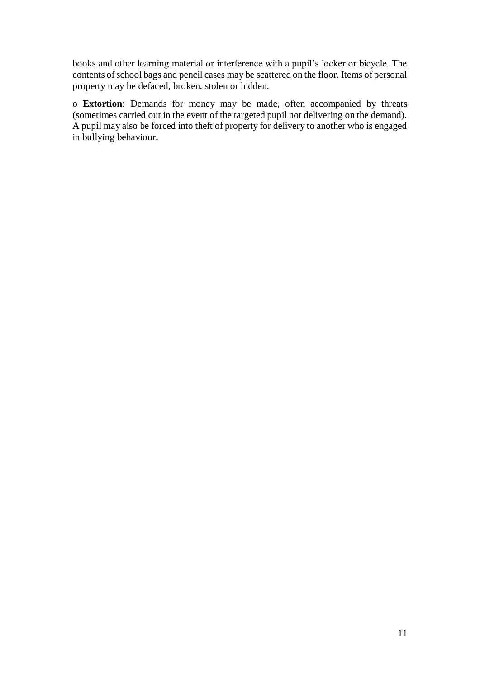books and other learning material or interference with a pupil's locker or bicycle. The contents of school bags and pencil cases may be scattered on the floor. Items of personal property may be defaced, broken, stolen or hidden.

o **Extortion**: Demands for money may be made, often accompanied by threats (sometimes carried out in the event of the targeted pupil not delivering on the demand). A pupil may also be forced into theft of property for delivery to another who is engaged in bullying behaviour**.**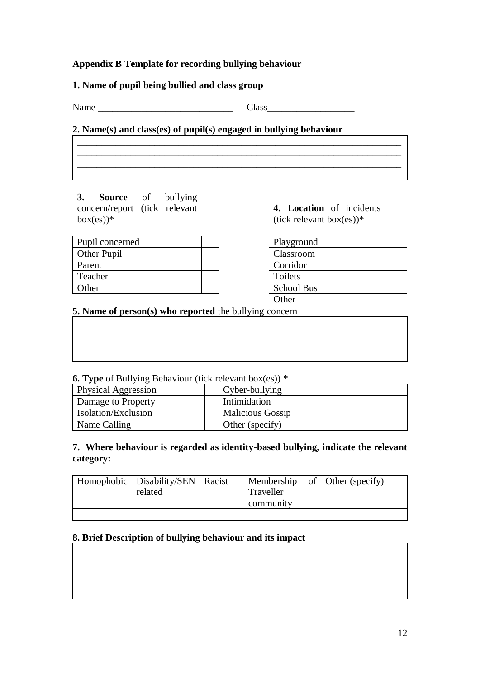### **Appendix B Template for recording bullying behaviour**

#### **1. Name of pupil being bullied and class group**

| Name | -- | lass |
|------|----|------|
|      |    |      |

#### **2. Name(s) and class(es) of pupil(s) engaged in bullying behaviour**

\_\_\_\_\_\_\_\_\_\_\_\_\_\_\_\_\_\_\_\_\_\_\_\_\_\_\_\_\_\_\_\_\_\_\_\_\_\_\_\_\_\_\_\_\_\_\_\_\_\_\_\_\_\_\_\_\_\_\_\_\_\_\_\_\_\_\_ \_\_\_\_\_\_\_\_\_\_\_\_\_\_\_\_\_\_\_\_\_\_\_\_\_\_\_\_\_\_\_\_\_\_\_\_\_\_\_\_\_\_\_\_\_\_\_\_\_\_\_\_\_\_\_\_\_\_\_\_\_\_\_\_\_\_\_ \_\_\_\_\_\_\_\_\_\_\_\_\_\_\_\_\_\_\_\_\_\_\_\_\_\_\_\_\_\_\_\_\_\_\_\_\_\_\_\_\_\_\_\_\_\_\_\_\_\_\_\_\_\_\_\_\_\_\_\_\_\_\_\_\_\_\_

**3. Source** of bullying concern/report (tick relevant  $box(es))$ \*

**4. Location** of incidents (tick relevant box(es))\*

| Pupil concerned    |  |
|--------------------|--|
| <b>Other Pupil</b> |  |
| Parent             |  |
| Teacher            |  |
| Other              |  |

Playground Classroom Corridor Toilets School Bus **Other** 

**5. Name of person(s) who reported** the bullying concern

|  |  | <b>6. Type</b> of Bullying Behaviour (tick relevant box(es)) * |  |
|--|--|----------------------------------------------------------------|--|
|  |  |                                                                |  |

| <b>Physical Aggression</b> | Cyber-bullying          |
|----------------------------|-------------------------|
| Damage to Property         | Intimidation            |
| <b>Isolation/Exclusion</b> | <b>Malicious Gossip</b> |
| Name Calling               | Other (specify)         |

### **7. Where behaviour is regarded as identity-based bullying, indicate the relevant category:**

| Homophobic   Disability/SEN   Racist |           | Membership of $\vert$ Other (specify) |
|--------------------------------------|-----------|---------------------------------------|
| related                              | Traveller |                                       |
|                                      | community |                                       |
|                                      |           |                                       |

#### **8. Brief Description of bullying behaviour and its impact**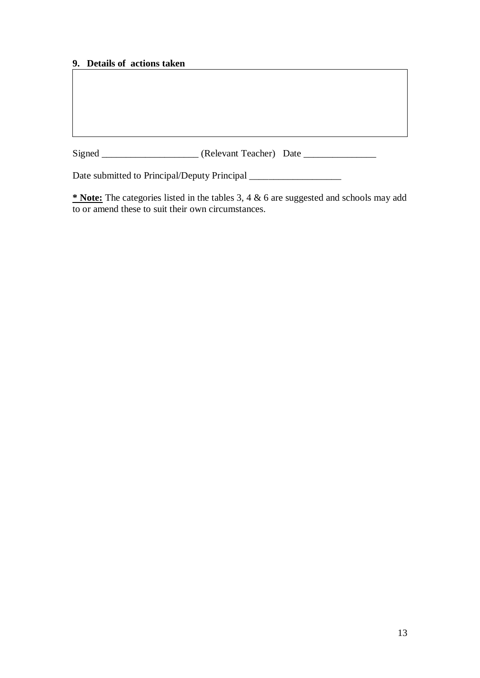# **9. Details of actions taken**

Signed \_\_\_\_\_\_\_\_\_\_\_\_\_\_\_\_\_\_\_\_\_\_\_ (Relevant Teacher) Date \_\_\_\_\_\_\_\_\_\_\_\_\_\_\_\_\_\_\_\_\_\_\_\_\_

Date submitted to Principal/Deputy Principal \_\_\_\_\_\_\_\_\_\_\_\_\_\_\_\_\_\_\_\_\_\_\_\_\_\_\_\_\_\_\_\_\_\_\_

**\* Note:** The categories listed in the tables 3, 4 & 6 are suggested and schools may add to or amend these to suit their own circumstances.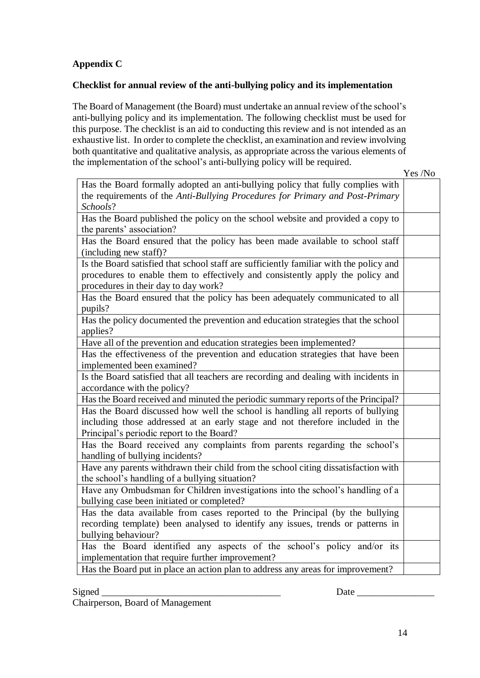# **Appendix C**

#### **Checklist for annual review of the anti-bullying policy and its implementation**

The Board of Management (the Board) must undertake an annual review of the school's anti-bullying policy and its implementation. The following checklist must be used for this purpose. The checklist is an aid to conducting this review and is not intended as an exhaustive list. In order to complete the checklist, an examination and review involving both quantitative and qualitative analysis, as appropriate across the various elements of the implementation of the school's anti-bullying policy will be required.

Yes /No

| Has the Board formally adopted an anti-bullying policy that fully complies with        |  |
|----------------------------------------------------------------------------------------|--|
| the requirements of the Anti-Bullying Procedures for Primary and Post-Primary          |  |
| Schools?                                                                               |  |
| Has the Board published the policy on the school website and provided a copy to        |  |
| the parents' association?                                                              |  |
| Has the Board ensured that the policy has been made available to school staff          |  |
| (including new staff)?                                                                 |  |
| Is the Board satisfied that school staff are sufficiently familiar with the policy and |  |
| procedures to enable them to effectively and consistently apply the policy and         |  |
| procedures in their day to day work?                                                   |  |
| Has the Board ensured that the policy has been adequately communicated to all          |  |
| pupils?                                                                                |  |
| Has the policy documented the prevention and education strategies that the school      |  |
| applies?                                                                               |  |
| Have all of the prevention and education strategies been implemented?                  |  |
| Has the effectiveness of the prevention and education strategies that have been        |  |
| implemented been examined?                                                             |  |
| Is the Board satisfied that all teachers are recording and dealing with incidents in   |  |
| accordance with the policy?                                                            |  |
| Has the Board received and minuted the periodic summary reports of the Principal?      |  |
| Has the Board discussed how well the school is handling all reports of bullying        |  |
| including those addressed at an early stage and not therefore included in the          |  |
| Principal's periodic report to the Board?                                              |  |
| Has the Board received any complaints from parents regarding the school's              |  |
| handling of bullying incidents?                                                        |  |
| Have any parents withdrawn their child from the school citing dissatisfaction with     |  |
| the school's handling of a bullying situation?                                         |  |
| Have any Ombudsman for Children investigations into the school's handling of a         |  |
| bullying case been initiated or completed?                                             |  |
| Has the data available from cases reported to the Principal (by the bullying           |  |
| recording template) been analysed to identify any issues, trends or patterns in        |  |
| bullying behaviour?                                                                    |  |
| Has the Board identified any aspects of the school's policy and/or its                 |  |
| implementation that require further improvement?                                       |  |
| Has the Board put in place an action plan to address any areas for improvement?        |  |

Signed Date Date  $\Box$ 

Chairperson, Board of Management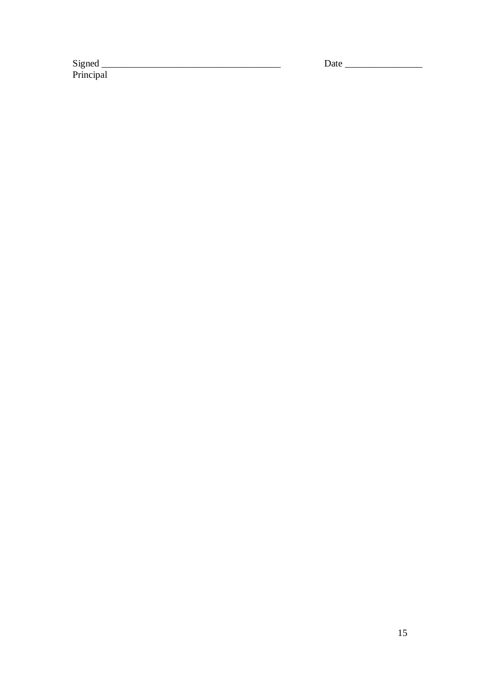Signed<br>Principal

Date